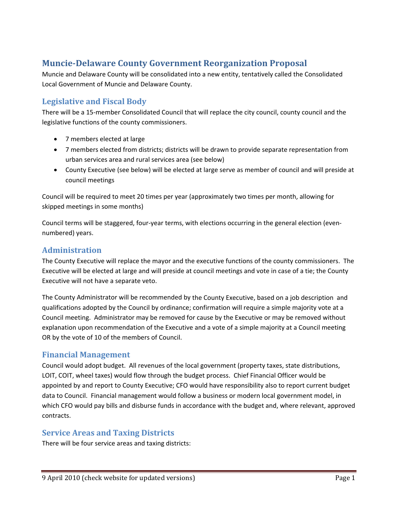# **MuncieDelaware County Government Reorganization Proposal**

Muncie and Delaware County will be consolidated into a new entity, tentatively called the Consolidated Local Government of Muncie and Delaware County.

### **Legislative and Fiscal Body**

There will be a 15‐member Consolidated Council that will replace the city council, county council and the legislative functions of the county commissioners.

- 7 members elected at large
- 7 members elected from districts; districts will be drawn to provide separate representation from urban services area and rural services area (see below)
- County Executive (see below) will be elected at large serve as member of council and will preside at council meetings

Council will be required to meet 20 times per year (approximately two times per month, allowing for skipped meetings in some months)

Council terms will be staggered, four‐year terms, with elections occurring in the general election (even‐ numbered) years.

#### **Administration**

The County Executive will replace the mayor and the executive functions of the county commissioners. The Executive will be elected at large and will preside at council meetings and vote in case of a tie; the County Executive will not have a separate veto.

The County Administrator will be recommended by the County Executive, based on a job description and qualifications adopted by the Council by ordinance; confirmation will require a simple majority vote at a Council meeting. Administrator may be removed for cause by the Executive or may be removed without explanation upon recommendation of the Executive and a vote of a simple majority at a Council meeting OR by the vote of 10 of the members of Council.

#### **Financial Management**

Council would adopt budget. All revenues of the local government (property taxes, state distributions, LOIT, COIT, wheel taxes) would flow through the budget process. Chief Financial Officer would be appointed by and report to County Executive; CFO would have responsibility also to report current budget data to Council. Financial management would follow a business or modern local government model, in which CFO would pay bills and disburse funds in accordance with the budget and, where relevant, approved contracts.

#### **Service Areas and Taxing Districts**

There will be four service areas and taxing districts: